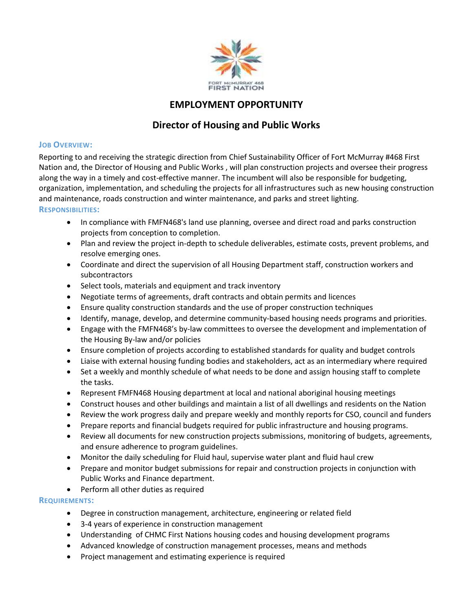

# **EMPLOYMENT OPPORTUNITY**

# **Director of Housing and Public Works**

## **JOB OVERVIEW:**

Reporting to and receiving the strategic direction from Chief Sustainability Officer of Fort McMurray #468 First Nation and, the Director of Housing and Public Works , will plan construction projects and oversee their progress along the way in a timely and cost-effective manner. The incumbent will also be responsible for budgeting, organization, implementation, and scheduling the projects for all infrastructures such as new housing construction and maintenance, roads construction and winter maintenance, and parks and street lighting.

## **RESPONSIBILITIES:**

- In compliance with FMFN468's land use planning, oversee and direct road and parks construction projects from conception to completion.
- Plan and review the project in-depth to schedule deliverables, estimate costs, prevent problems, and resolve emerging ones.
- Coordinate and direct the supervision of all Housing Department staff, construction workers and subcontractors
- Select tools, materials and equipment and track inventory
- Negotiate terms of agreements, draft contracts and obtain permits and licences
- Ensure quality construction standards and the use of proper construction techniques
- Identify, manage, develop, and determine community-based housing needs programs and priorities.
- Engage with the FMFN468's by-law committees to oversee the development and implementation of the Housing By-law and/or policies
- Ensure completion of projects according to established standards for quality and budget controls
- Liaise with external housing funding bodies and stakeholders, act as an intermediary where required
- Set a weekly and monthly schedule of what needs to be done and assign housing staff to complete the tasks.
- Represent FMFN468 Housing department at local and national aboriginal housing meetings
- Construct houses and other buildings and maintain a list of all dwellings and residents on the Nation
- Review the work progress daily and prepare weekly and monthly reports for CSO, council and funders
- Prepare reports and financial budgets required for public infrastructure and housing programs.
- Review all documents for new construction projects submissions, monitoring of budgets, agreements, and ensure adherence to program guidelines.
- Monitor the daily scheduling for Fluid haul, supervise water plant and fluid haul crew
- Prepare and monitor budget submissions for repair and construction projects in conjunction with Public Works and Finance department.
- Perform all other duties as required

# **REQUIREMENTS:**

- Degree in construction management, architecture, engineering or related field
- 3-4 years of experience in construction management
- Understanding of CHMC First Nations housing codes and housing development programs
- Advanced knowledge of construction management processes, means and methods
- Project management and estimating experience is required